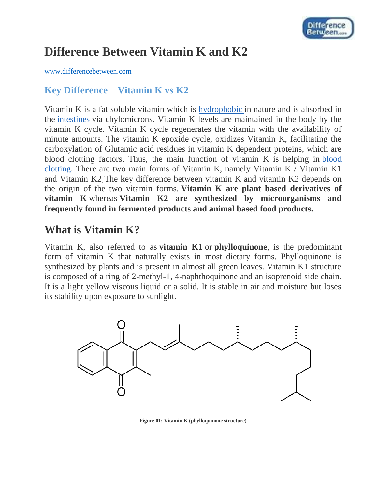

# **Difference Between Vitamin K and K2**

[www.differencebetween.com](http://www.differencebetween.com/)

#### **Key Difference – Vitamin K vs K2**

Vitamin K is a fat soluble vitamin which is [hydrophobic](http://www.differencebetween.com/difference-between-hydrophilic-and-vs-hydrophobic/) in nature and is absorbed in the [intestines](http://www.differencebetween.com/difference-between-small-intestine-and-vs-large-intestine/) via chylomicrons. Vitamin K levels are maintained in the body by the vitamin K cycle. Vitamin K cycle regenerates the vitamin with the availability of minute amounts. The vitamin K epoxide cycle, oxidizes Vitamin K, facilitating the carboxylation of Glutamic acid residues in vitamin K dependent proteins, which are blood clotting factors. Thus, the main function of vitamin K is helping in [blood](http://www.differencebetween.com/difference-between-coagulation-and-clotting/)  [clotting.](http://www.differencebetween.com/difference-between-coagulation-and-clotting/) There are two main forms of Vitamin K, namely Vitamin K / Vitamin K1 and Vitamin K2. The key difference between vitamin K and vitamin K2 depends on the origin of the two vitamin forms. **Vitamin K are plant based derivatives of vitamin K** whereas **Vitamin K2 are synthesized by microorganisms and frequently found in fermented products and animal based food products.**

### **What is Vitamin K?**

Vitamin K, also referred to as **vitamin K1** or **phylloquinone**, is the predominant form of vitamin K that naturally exists in most dietary forms. Phylloquinone is synthesized by plants and is present in almost all green leaves. Vitamin K1 structure is composed of a ring of 2-methyl-1, 4-naphthoquinone and an isoprenoid side chain. It is a light yellow viscous liquid or a solid. It is stable in air and moisture but loses its stability upon exposure to sunlight.



**Figure 01: Vitamin K (phylloquinone structure)**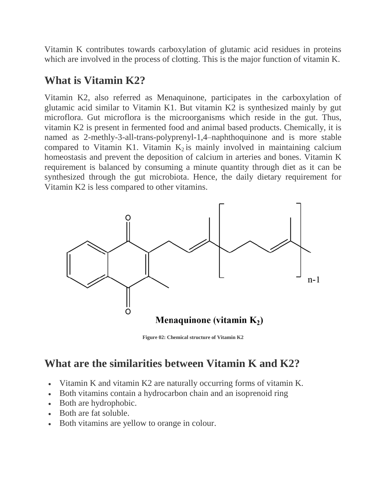Vitamin K contributes towards carboxylation of glutamic acid residues in proteins which are involved in the process of clotting. This is the major function of vitamin K.

## **What is Vitamin K2?**

Vitamin K2, also referred as Menaquinone, participates in the carboxylation of glutamic acid similar to Vitamin K1. But vitamin K2 is synthesized mainly by gut microflora. Gut microflora is the microorganisms which reside in the gut. Thus, vitamin K2 is present in fermented food and animal based products. Chemically, it is named as 2-methly-3-all-trans-polyprenyl-1,4–naphthoquinone and is more stable compared to Vitamin K1. Vitamin  $K_2$  is mainly involved in maintaining calcium homeostasis and prevent the deposition of calcium in arteries and bones. Vitamin K requirement is balanced by consuming a minute quantity through diet as it can be synthesized through the gut microbiota. Hence, the daily dietary requirement for Vitamin K2 is less compared to other vitamins.



**Figure 02: Chemical structure of Vitamin K2**

### **What are the similarities between Vitamin K and K2?**

- Vitamin K and vitamin K2 are naturally occurring forms of vitamin K.
- Both vitamins contain a hydrocarbon chain and an isoprenoid ring
- Both are hydrophobic.
- Both are fat soluble.
- Both vitamins are yellow to orange in colour.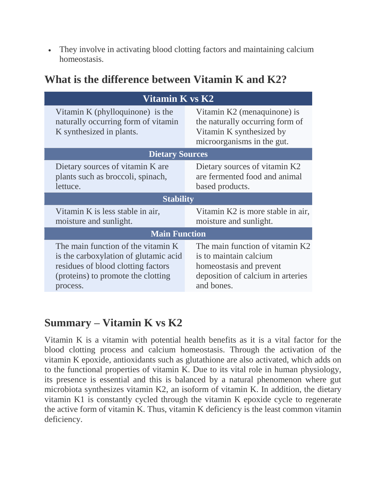They involve in activating blood clotting factors and maintaining calcium homeostasis.

| <b>Vitamin K vs K2</b>                                                                                                                                              |                                                                                                                                         |
|---------------------------------------------------------------------------------------------------------------------------------------------------------------------|-----------------------------------------------------------------------------------------------------------------------------------------|
| Vitamin K (phylloquinone) is the<br>naturally occurring form of vitamin<br>K synthesized in plants.                                                                 | Vitamin K2 (menaquinone) is<br>the naturally occurring form of<br>Vitamin K synthesized by<br>microorganisms in the gut.                |
| <b>Dietary Sources</b>                                                                                                                                              |                                                                                                                                         |
| Dietary sources of vitamin K are<br>plants such as broccoli, spinach,<br>lettuce.                                                                                   | Dietary sources of vitamin K2<br>are fermented food and animal<br>based products.                                                       |
| <b>Stability</b>                                                                                                                                                    |                                                                                                                                         |
| Vitamin K is less stable in air,<br>moisture and sunlight.                                                                                                          | Vitamin K2 is more stable in air,<br>moisture and sunlight.                                                                             |
| <b>Main Function</b>                                                                                                                                                |                                                                                                                                         |
| The main function of the vitamin K<br>is the carboxylation of glutamic acid<br>residues of blood clotting factors<br>(proteins) to promote the clotting<br>process. | The main function of vitamin K2<br>is to maintain calcium<br>homeostasis and prevent<br>deposition of calcium in arteries<br>and bones. |

### **What is the difference between Vitamin K and K2?**

# **Summary – Vitamin K vs K2**

Vitamin K is a vitamin with potential health benefits as it is a vital factor for the blood clotting process and calcium homeostasis. Through the activation of the vitamin K epoxide, antioxidants such as glutathione are also activated, which adds on to the functional properties of vitamin K. Due to its vital role in human physiology, its presence is essential and this is balanced by a natural phenomenon where gut microbiota synthesizes vitamin K2, an isoform of vitamin K. In addition, the dietary vitamin K1 is constantly cycled through the vitamin K epoxide cycle to regenerate the active form of vitamin K. Thus, vitamin K deficiency is the least common vitamin deficiency.